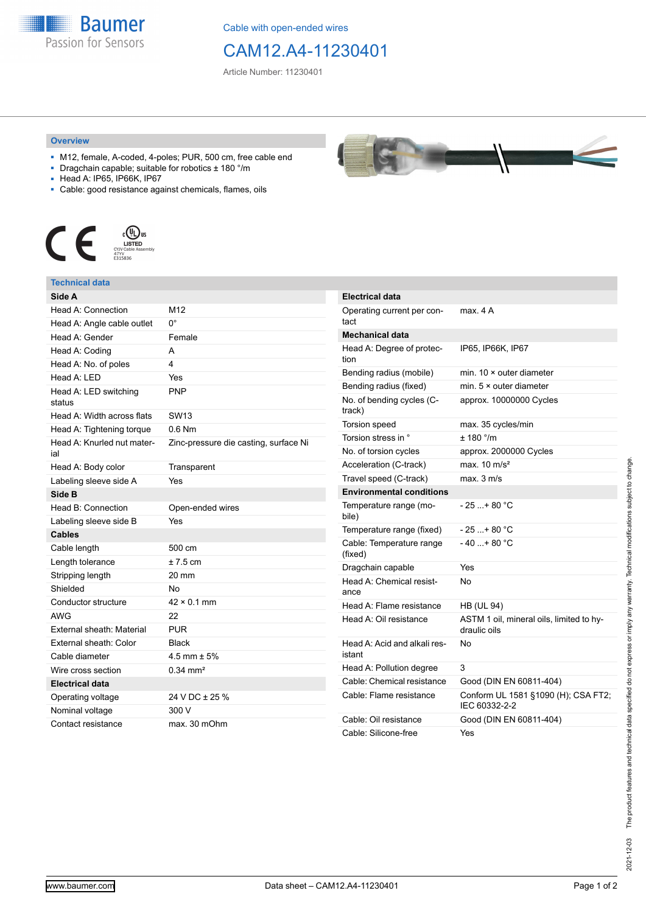**Baumer** Passion for Sensors

Cable with open-ended wires

# CAM12.A4-11230401

Article Number: 11230401

### **Overview**

- M12, female, A-coded, 4-poles; PUR, 500 cm, free cable end
- Dragchain capable; suitable for robotics ± 180 °/m
- Head A: IP65, IP66K, IP67
- Cable: good resistance against chemicals, flames, oils



## **Technical data**

| Side A                            |                                       |
|-----------------------------------|---------------------------------------|
| Head A: Connection                | M12                                   |
| Head A: Angle cable outlet        | 0°                                    |
| Head A: Gender                    | Female                                |
| Head A: Coding                    | A                                     |
| Head A: No. of poles              | 4                                     |
| Head $A \cdot IFD$                | Yes                                   |
| Head A: LED switching<br>status   | <b>PNP</b>                            |
| Head A: Width across flats        | SW13                                  |
| Head A: Tightening torque         | $0.6$ Nm                              |
| Head A: Knurled nut mater-<br>ial | Zinc-pressure die casting, surface Ni |
| Head A: Body color                | Transparent                           |
| Labeling sleeve side A            | Yes                                   |
| Side B                            |                                       |
| Head B: Connection                | Open-ended wires                      |
| Labeling sleeve side B            | Yes                                   |
| <b>Cables</b>                     |                                       |
| Cable length                      | 500 cm                                |
| Length tolerance                  | $± 7.5$ cm                            |
| Stripping length                  | 20 mm                                 |
| Shielded                          | No                                    |
| Conductor structure               | $42 \times 0.1$ mm                    |
| <b>AWG</b>                        | 22                                    |
| <b>External sheath: Material</b>  | <b>PUR</b>                            |
| External sheath: Color            | <b>Black</b>                          |
| Cable diameter                    | 4.5 mm $\pm$ 5%                       |
| Wire cross section                | $0.34 \, \text{mm}^2$                 |
| <b>Electrical data</b>            |                                       |
| Operating voltage                 | 24 V DC ± 25 %                        |
| Nominal voltage                   | 300 V                                 |
| Contact resistance                | max. 30 mOhm                          |



| <b>Electrical data</b>                 |                                                          |
|----------------------------------------|----------------------------------------------------------|
| Operating current per con-<br>tact     | max. 4 A                                                 |
| <b>Mechanical data</b>                 |                                                          |
| Head A: Degree of protec-<br>tion      | IP65, IP66K, IP67                                        |
| Bending radius (mobile)                | min. $10 \times$ outer diameter                          |
| Bending radius (fixed)                 | min. $5 \times$ outer diameter                           |
| No. of bending cycles (C-<br>track)    | approx. 10000000 Cycles                                  |
| Torsion speed                          | max. 35 cycles/min                                       |
| Torsion stress in °                    | ± 180 °/m                                                |
| No. of torsion cycles                  | approx. 2000000 Cycles                                   |
| Acceleration (C-track)                 | max. $10 \text{ m/s}^2$                                  |
| Travel speed (C-track)                 | max. 3 m/s                                               |
| <b>Environmental conditions</b>        |                                                          |
| Temperature range (mo-<br>bile)        | - 25 + 80 °C                                             |
| Temperature range (fixed)              | $-25+80 °C$                                              |
| Cable: Temperature range<br>(fixed)    | $-40+80 °C$                                              |
| Dragchain capable                      | Yes                                                      |
| Head A: Chemical resist-<br>ance       | No                                                       |
| Head A: Flame resistance               | <b>HB (UL 94)</b>                                        |
| Head A: Oil resistance                 | ASTM 1 oil, mineral oils, limited to hy-<br>draulic oils |
| Head A: Acid and alkali res-<br>istant | No                                                       |
| Head A: Pollution degree               | 3                                                        |
| Cable: Chemical resistance             | Good (DIN EN 60811-404)                                  |
| Cable: Flame resistance                | Conform UL 1581 §1090 (H); CSA FT2;<br>IEC 60332-2-2     |
| Cable: Oil resistance                  | Good (DIN EN 60811-404)                                  |
| Cable: Silicone-free                   | Yes                                                      |